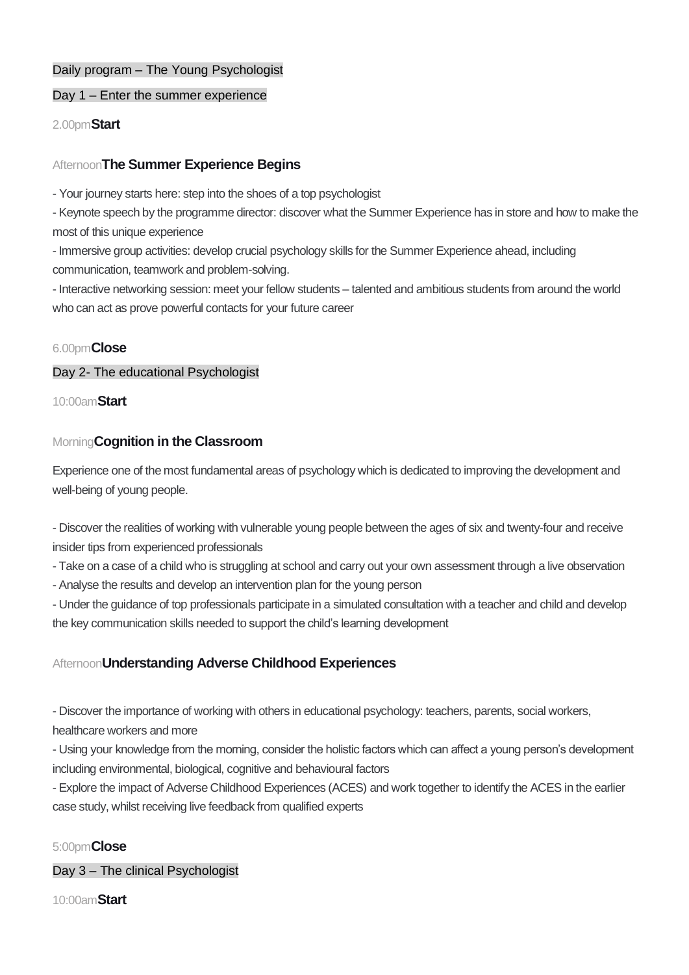# Daily program – The Young Psychologist

## Day 1 – Enter the summer experience

2.00pm**Start**

## Afternoon**The Summer Experience Begins**

- Your journey starts here: step into the shoes of a top psychologist

- Keynote speech by the programme director: discover what the Summer Experience has in store and how to make the most of this unique experience

- Immersive group activities: develop crucial psychology skills for the Summer Experience ahead, including communication, teamwork and problem-solving.

- Interactive networking session: meet your fellow students – talented and ambitious students from around the world who can act as prove powerful contacts for your future career

## 6.00pm**Close**

### Day 2- The educational Psychologist

10:00am**Start**

# Morning**Cognition in the Classroom**

Experience one of the most fundamental areas of psychology which is dedicated to improving the development and well-being of young people.

- Discover the realities of working with vulnerable young people between the ages of six and twenty-four and receive insider tips from experienced professionals

- Take on a case of a child who is struggling at school and carry out your own assessment through a live observation

- Analyse the results and develop an intervention plan for the young person

- Under the guidance of top professionals participate in a simulated consultation with a teacher and child and develop the key communication skills needed to support the child's learning development

# Afternoon**Understanding Adverse Childhood Experiences**

- Discover the importance of working with others in educational psychology: teachers, parents, social workers,

healthcare workers and more

- Using your knowledge from the morning, consider the holistic factors which can affect a young person's development including environmental, biological, cognitive and behavioural factors

- Explore the impact of Adverse Childhood Experiences (ACES) and work together to identify the ACES in the earlier case study, whilst receiving live feedback from qualified experts

# 5:00pm**Close**

Day 3 – The clinical Psychologist

10:00am**Start**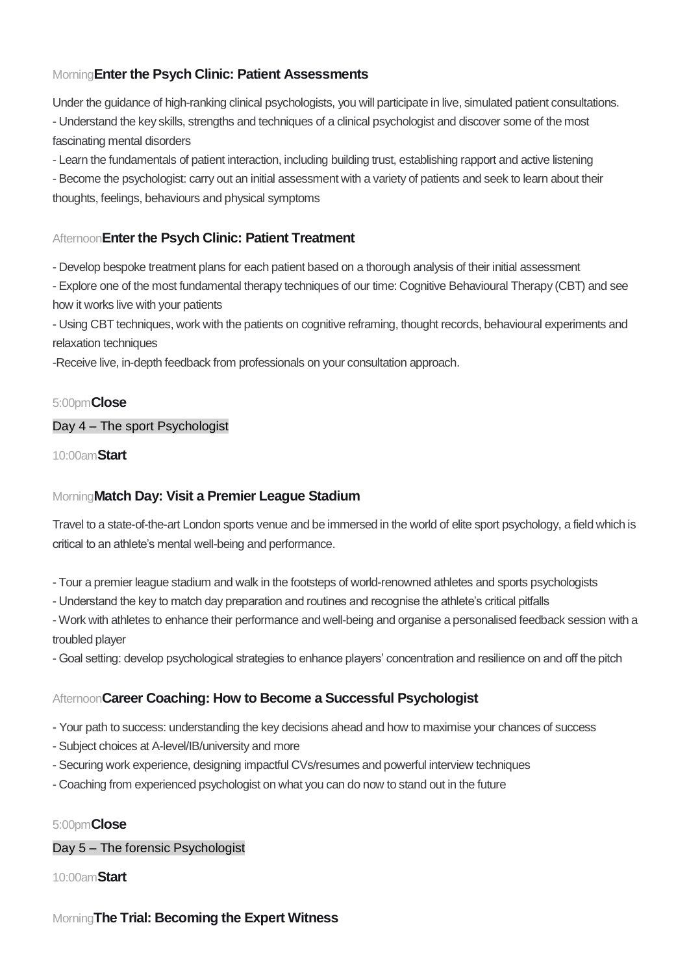# Morning**Enter the Psych Clinic: Patient Assessments**

Under the guidance of high-ranking clinical psychologists, you will participate in live, simulated patient consultations. - Understand the key skills, strengths and techniques of a clinical psychologist and discover some of the most fascinating mental disorders

- Learn the fundamentals of patient interaction, including building trust, establishing rapport and active listening

- Become the psychologist: carry out an initial assessment with a variety of patients and seek to learn about their thoughts, feelings, behaviours and physical symptoms

# Afternoon**Enter the Psych Clinic: Patient Treatment**

- Develop bespoke treatment plans for each patient based on a thorough analysis of their initial assessment

- Explore one of the most fundamental therapy techniques of our time: Cognitive Behavioural Therapy (CBT) and see how it works live with your patients

- Using CBT techniques, work with the patients on cognitive reframing, thought records, behavioural experiments and relaxation techniques

-Receive live, in-depth feedback from professionals on your consultation approach.

## 5:00pm**Close**

# Day 4 – The sport Psychologist

10:00am**Start**

# Morning**Match Day: Visit a Premier League Stadium**

Travel to a state-of-the-art London sports venue and be immersed in the world of elite sport psychology, a field which is critical to an athlete's mental well-being and performance.

- Tour a premier league stadium and walk in the footsteps of world-renowned athletes and sports psychologists
- Understand the key to match day preparation and routines and recognise the athlete's critical pitfalls

- Work with athletes to enhance their performance and well-being and organise a personalised feedback session with a troubled player

- Goal setting: develop psychological strategies to enhance players' concentration and resilience on and off the pitch

# Afternoon**Career Coaching: How to Become a Successful Psychologist**

- Your path to success: understanding the key decisions ahead and how to maximise your chances of success

- Subject choices at A-level/IB/university and more
- Securing work experience, designing impactful CVs/resumes and powerful interview techniques
- Coaching from experienced psychologist on what you can do now to stand out in the future

# 5:00pm**Close**

Day 5 – The forensic Psychologist

10:00am**Start**

# Morning**The Trial: Becoming the Expert Witness**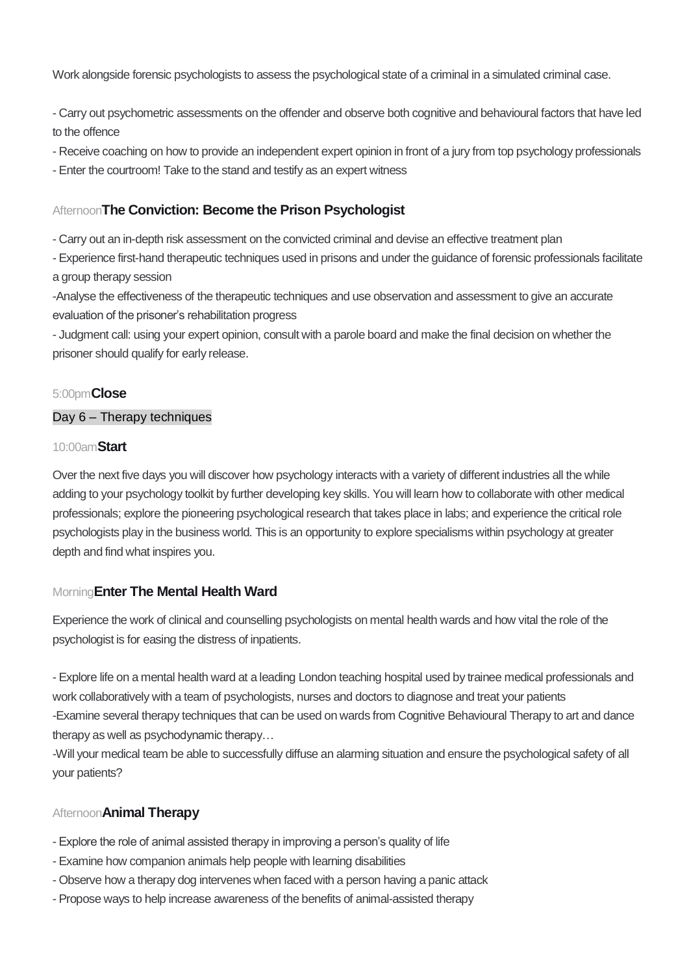Work alongside forensic psychologists to assess the psychological state of a criminal in a simulated criminal case.

- Carry out psychometric assessments on the offender and observe both cognitive and behavioural factors that have led to the offence

- Receive coaching on how to provide an independent expert opinion in front of a jury from top psychology professionals

- Enter the courtroom! Take to the stand and testify as an expert witness

## Afternoon**The Conviction: Become the Prison Psychologist**

- Carry out an in-depth risk assessment on the convicted criminal and devise an effective treatment plan

- Experience first-hand therapeutic techniques used in prisons and under the guidance of forensic professionals facilitate a group therapy session

-Analyse the effectiveness of the therapeutic techniques and use observation and assessment to give an accurate evaluation of the prisoner's rehabilitation progress

- Judgment call: using your expert opinion, consult with a parole board and make the final decision on whether the prisoner should qualify for early release.

### 5:00pm**Close**

#### Day 6 – Therapy techniques

#### 10:00am**Start**

Over the next five days you will discover how psychology interacts with a variety of different industries all the while adding to your psychology toolkit by further developing key skills. You will learn how to collaborate with other medical professionals; explore the pioneering psychological research that takes place in labs; and experience the critical role psychologists play in the business world. This is an opportunity to explore specialisms within psychology at greater depth and find what inspires you.

### Morning**Enter The Mental Health Ward**

Experience the work of clinical and counselling psychologists on mental health wards and how vital the role of the psychologist is for easing the distress of inpatients.

- Explore life on a mental health ward at a leading London teaching hospital used by trainee medical professionals and work collaboratively with a team of psychologists, nurses and doctors to diagnose and treat your patients -Examine several therapy techniques that can be used on wards from Cognitive Behavioural Therapy to art and dance therapy as well as psychodynamic therapy…

-Will your medical team be able to successfully diffuse an alarming situation and ensure the psychological safety of all your patients?

### Afternoon**Animal Therapy**

- Explore the role of animal assisted therapy in improving a person's quality of life
- Examine how companion animals help people with learning disabilities
- Observe how a therapy dog intervenes when faced with a person having a panic attack
- Propose ways to help increase awareness of the benefits of animal-assisted therapy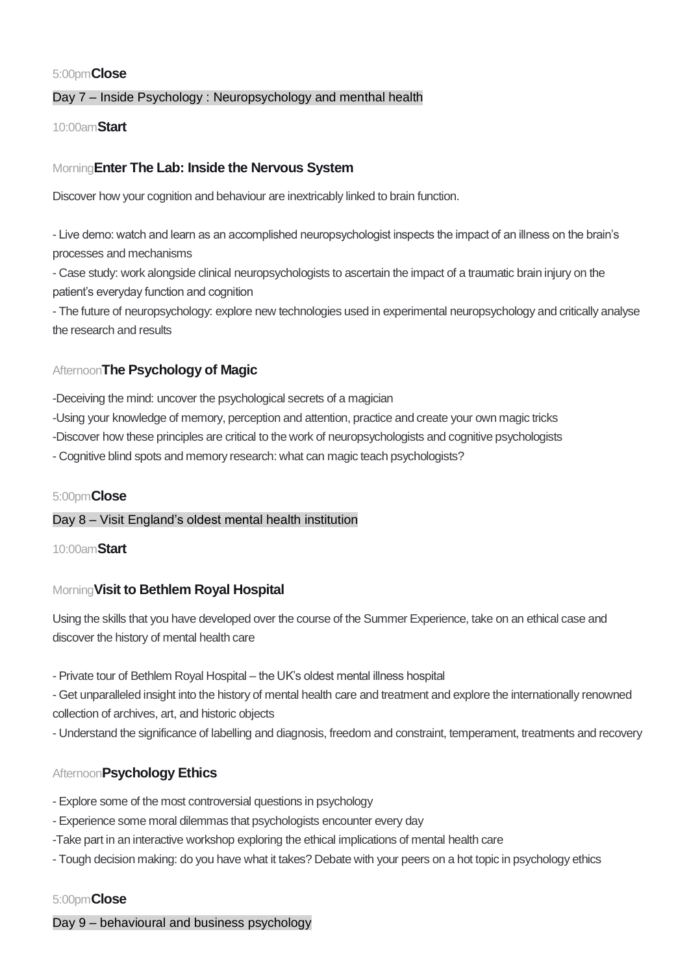## 5:00pm**Close**

## Day 7 – Inside Psychology : Neuropsychology and menthal health

10:00am**Start**

## Morning**Enter The Lab: Inside the Nervous System**

Discover how your cognition and behaviour are inextricably linked to brain function.

- Live demo: watch and learn as an accomplished neuropsychologist inspects the impact of an illness on the brain's processes and mechanisms

- Case study: work alongside clinical neuropsychologists to ascertain the impact of a traumatic brain injury on the patient's everyday function and cognition

- The future of neuropsychology: explore new technologies used in experimental neuropsychology and critically analyse the research and results

## Afternoon**The Psychology of Magic**

-Deceiving the mind: uncover the psychological secrets of a magician

-Using your knowledge of memory, perception and attention, practice and create your own magic tricks

-Discover how these principles are critical to the work of neuropsychologists and cognitive psychologists

- Cognitive blind spots and memory research: what can magic teach psychologists?

### 5:00pm**Close**

#### Day 8 – Visit England's oldest mental health institution

10:00am**Start**

### Morning**Visit to Bethlem Royal Hospital**

Using the skills that you have developed over the course of the Summer Experience, take on an ethical case and discover the history of mental health care

- Private tour of Bethlem Royal Hospital – the UK's oldest mental illness hospital

- Get unparalleled insight into the history of mental health care and treatment and explore the internationally renowned collection of archives, art, and historic objects

- Understand the significance of labelling and diagnosis, freedom and constraint, temperament, treatments and recovery

### Afternoon**Psychology Ethics**

- Explore some of the most controversial questions in psychology
- Experience some moral dilemmas that psychologists encounter every day
- -Take part in an interactive workshop exploring the ethical implications of mental health care
- Tough decision making: do you have what it takes? Debate with your peers on a hot topic in psychology ethics

#### 5:00pm**Close**

Day 9 – behavioural and business psychology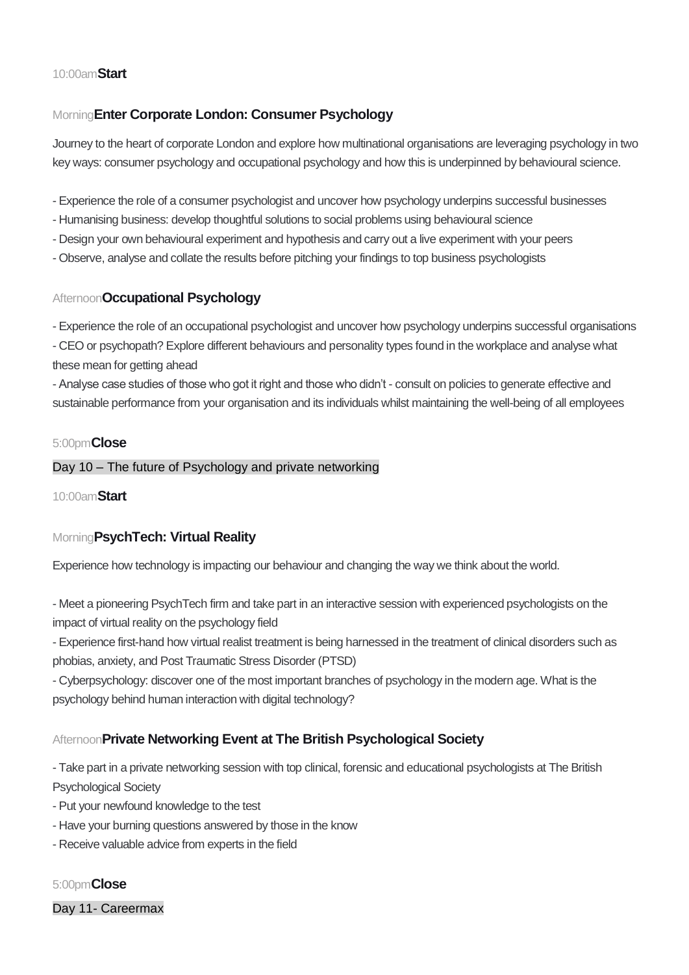## 10:00am**Start**

# Morning**Enter Corporate London: Consumer Psychology**

Journey to the heart of corporate London and explore how multinational organisations are leveraging psychology in two key ways: consumer psychology and occupational psychology and how this is underpinned by behavioural science.

- Experience the role of a consumer psychologist and uncover how psychology underpins successful businesses
- Humanising business: develop thoughtful solutions to social problems using behavioural science
- Design your own behavioural experiment and hypothesis and carry out a live experiment with your peers
- Observe, analyse and collate the results before pitching your findings to top business psychologists

# Afternoon**Occupational Psychology**

- Experience the role of an occupational psychologist and uncover how psychology underpins successful organisations - CEO or psychopath? Explore different behaviours and personality types found in the workplace and analyse what

these mean for getting ahead

- Analyse case studies of those who got it right and those who didn't - consult on policies to generate effective and sustainable performance from your organisation and its individuals whilst maintaining the well-being of all employees

### 5:00pm**Close**

#### Day 10 – The future of Psychology and private networking

10:00am**Start**

# Morning**PsychTech: Virtual Reality**

Experience how technology is impacting our behaviour and changing the way we think about the world.

- Meet a pioneering PsychTech firm and take part in an interactive session with experienced psychologists on the impact of virtual reality on the psychology field

- Experience first-hand how virtual realist treatment is being harnessed in the treatment of clinical disorders such as phobias, anxiety, and Post Traumatic Stress Disorder (PTSD)

- Cyberpsychology: discover one of the most important branches of psychology in the modern age. What is the psychology behind human interaction with digital technology?

# Afternoon**Private Networking Event at The British Psychological Society**

- Take part in a private networking session with top clinical, forensic and educational psychologists at The British Psychological Society

- Put your newfound knowledge to the test
- Have your burning questions answered by those in the know
- Receive valuable advice from experts in the field

5:00pm**Close** Day 11- Careermax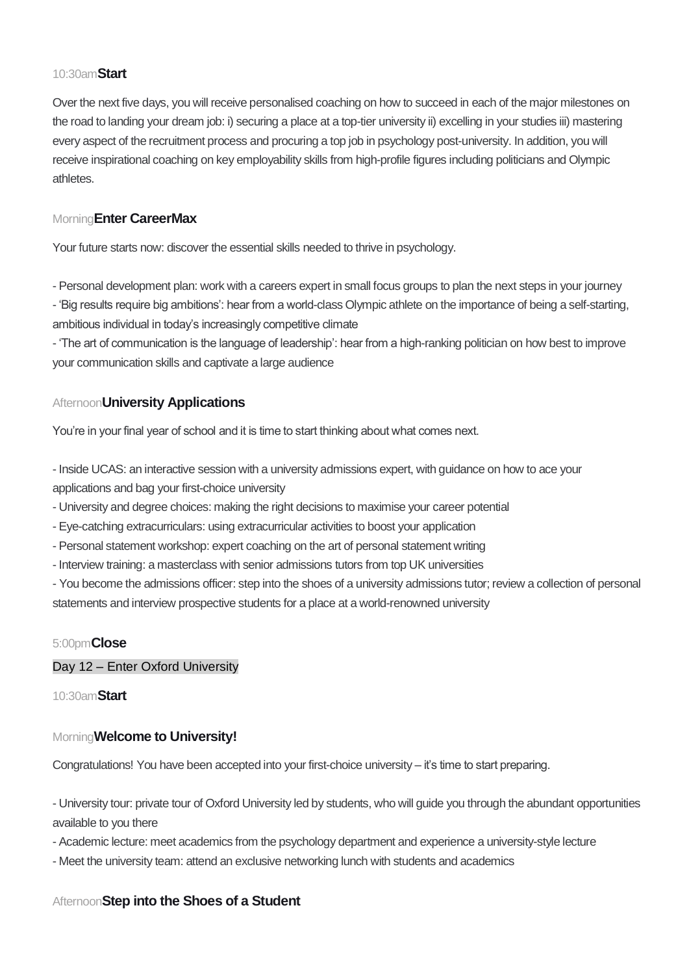## 10:30am**Start**

Over the next five days, you will receive personalised coaching on how to succeed in each of the major milestones on the road to landing your dream job: i) securing a place at a top-tier university ii) excelling in your studies iii) mastering every aspect of the recruitment process and procuring a top job in psychology post-university. In addition, you will receive inspirational coaching on key employability skills from high-profile figures including politicians and Olympic athletes.

# Morning**Enter CareerMax**

Your future starts now: discover the essential skills needed to thrive in psychology.

- Personal development plan: work with a careers expert in small focus groups to plan the next steps in your journey - 'Big results require big ambitions': hear from a world-class Olympic athlete on the importance of being a self-starting, ambitious individual in today's increasingly competitive climate

- 'The art of communication is the language of leadership': hear from a high-ranking politician on how best to improve your communication skills and captivate a large audience

## Afternoon**University Applications**

You're in your final year of school and it is time to start thinking about what comes next.

- Inside UCAS: an interactive session with a university admissions expert, with guidance on how to ace your applications and bag your first-choice university

- University and degree choices: making the right decisions to maximise your career potential
- Eye-catching extracurriculars: using extracurricular activities to boost your application
- Personal statement workshop: expert coaching on the art of personal statement writing
- Interview training: a masterclass with senior admissions tutors from top UK universities

- You become the admissions officer: step into the shoes of a university admissions tutor; review a collection of personal statements and interview prospective students for a place at a world-renowned university

### 5:00pm**Close**

Day 12 – Enter Oxford University

10:30am**Start**

### Morning**Welcome to University!**

Congratulations! You have been accepted into your first-choice university – it's time to start preparing.

- University tour: private tour of Oxford University led by students, who will guide you through the abundant opportunities available to you there

- Academic lecture: meet academics from the psychology department and experience a university-style lecture
- Meet the university team: attend an exclusive networking lunch with students and academics

### Afternoon**Step into the Shoes of a Student**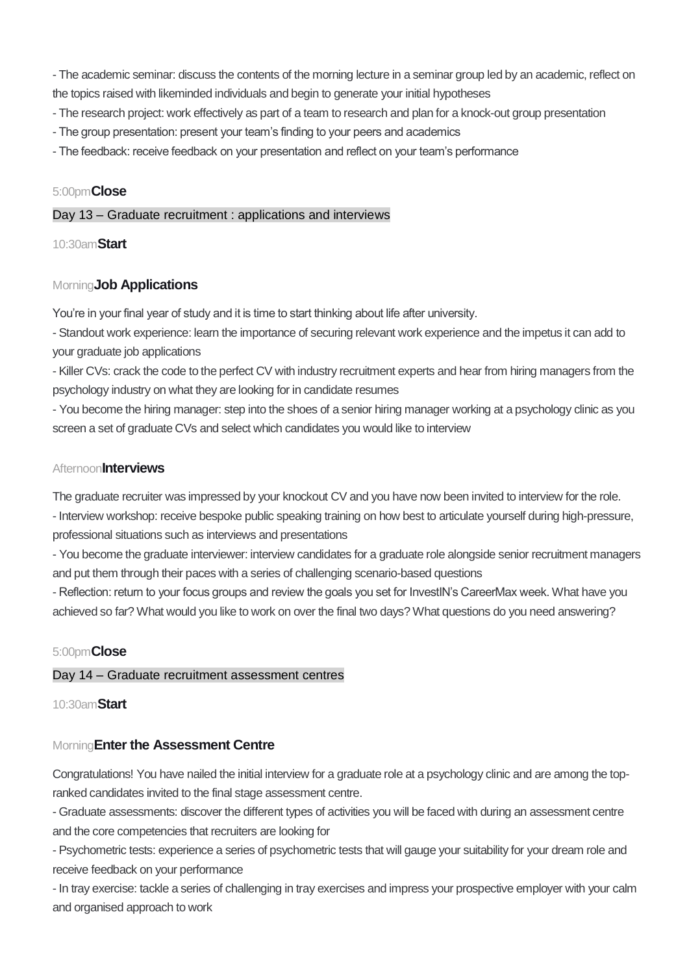- The academic seminar: discuss the contents of the morning lecture in a seminar group led by an academic, reflect on the topics raised with likeminded individuals and begin to generate your initial hypotheses

- The research project: work effectively as part of a team to research and plan for a knock-out group presentation
- The group presentation: present your team's finding to your peers and academics
- The feedback: receive feedback on your presentation and reflect on your team's performance

## 5:00pm**Close**

## Day 13 – Graduate recruitment : applications and interviews

10:30am**Start**

# Morning**Job Applications**

You're in your final year of study and it is time to start thinking about life after university.

- Standout work experience: learn the importance of securing relevant work experience and the impetus it can add to your graduate job applications

- Killer CVs: crack the code to the perfect CV with industry recruitment experts and hear from hiring managers from the psychology industry on what they are looking for in candidate resumes

- You become the hiring manager: step into the shoes of a senior hiring manager working at a psychology clinic as you screen a set of graduate CVs and select which candidates you would like to interview

## Afternoon**Interviews**

The graduate recruiter was impressed by your knockout CV and you have now been invited to interview for the role.

- Interview workshop: receive bespoke public speaking training on how best to articulate yourself during high-pressure, professional situations such as interviews and presentations

- You become the graduate interviewer: interview candidates for a graduate role alongside senior recruitment managers and put them through their paces with a series of challenging scenario-based questions

- Reflection: return to your focus groups and review the goals you set for InvestIN's CareerMax week. What have you achieved so far? What would you like to work on over the final two days? What questions do you need answering?

# 5:00pm**Close**

# Day 14 – Graduate recruitment assessment centres

10:30am**Start**

# Morning**Enter the Assessment Centre**

Congratulations! You have nailed the initial interview for a graduate role at a psychology clinic and are among the topranked candidates invited to the final stage assessment centre.

- Graduate assessments: discover the different types of activities you will be faced with during an assessment centre and the core competencies that recruiters are looking for

- Psychometric tests: experience a series of psychometric tests that will gauge your suitability for your dream role and receive feedback on your performance

- In tray exercise: tackle a series of challenging in tray exercises and impress your prospective employer with your calm and organised approach to work